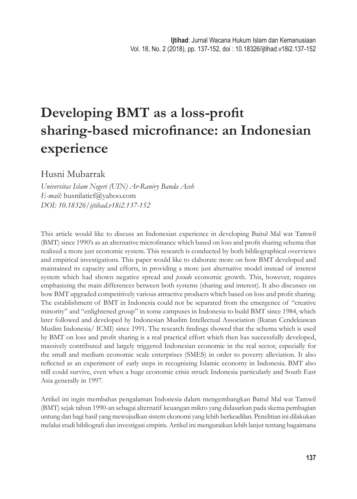# **Developing BMT** as a loss-profit **sharing-based microfinance: an Indonesian experience**

Husni Mubarrak

*Universitas Islam Negeri (UIN) Ar-Raniry Banda Aceh E-mail:* husnilatief@yahoo.com *DOI: 10.18326/ijtihad.v18i2.137-152*

This article would like to discuss an Indonesian experience in developing Baitul Mal wat Tamwil (BMT) since 1990's as an alternative microfinance which based on loss and profit sharing schema that realized a more just economic system. This research is conducted by both bibliographical overviews and empirical investigations. This paper would like to elaborate more on how BMT developed and maintained its capacity and efforts, in providing a more just alternative model instead of interest system which had shown negative spread and *pseudo* economic growth. This, however, requires emphasizing the main differences between both systems (sharing and interest). It also discusses on how BMT upgraded competitively various attractive products which based on loss and profit sharing. The establishment of BMT in Indonesia could not be separated from the emergence of "creative minority" and "enlightened group" in some campuses in Indonesia to build BMT since 1984, which later followed and developed by Indonesian Muslim Intellectual Association (Ikatan Cendekiawan Muslim Indonesia/ ICMI) since 1991. The research findings showed that the schema which is used by BMT on loss and profi t sharing is a real practical effort which then has successfully developed, massively contributed and largely triggered Indonesian economic in the real sector, especially for the small and medium economic scale enterprises (SMES) in order to poverty alleviation. It also reflected as an experiment of early steps in recognizing Islamic economy in Indonesia. BMT also still could survive, even when a huge economic crisis struck Indonesia particularly and South East Asia generally in 1997.

Artikel ini ingin membahas pengalaman Indonesia dalam mengembangkan Baitul Mal wat Tamwil (BMT) sejak tahun 1990-an sebagai alternatif keuangan mikro yang didasarkan pada skema pembagian untung dan bagi hasil yang mewujudkan sistem ekonomi yang lebih berkeadilan. Penelitian ini dilakukan melalui studi bibliografi dan investigasi empiris. Artikel ini menguraikan lebih lanjut tentang bagaimana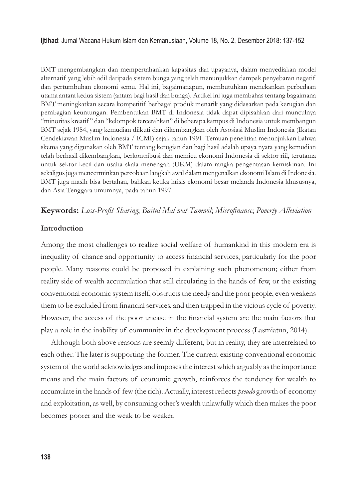BMT mengembangkan dan mempertahankan kapasitas dan upayanya, dalam menyediakan model alternatif yang lebih adil daripada sistem bunga yang telah menunjukkan dampak penyebaran negatif dan pertumbuhan ekonomi semu. Hal ini, bagaimanapun, membutuhkan menekankan perbedaan utama antara kedua sistem (antara bagi hasil dan bunga). Artikel ini juga membahas tentang bagaimana BMT meningkatkan secara kompetitif berbagai produk menarik yang didasarkan pada kerugian dan pembagian keuntungan. Pembentukan BMT di Indonesia tidak dapat dipisahkan dari munculnya "minoritas kreatif " dan "kelompok tercerahkan" di beberapa kampus di Indonesia untuk membangun BMT sejak 1984, yang kemudian diikuti dan dikembangkan oleh Asosiasi Muslim Indonesia (Ikatan Cendekiawan Muslim Indonesia / ICMI) sejak tahun 1991. Temuan penelitian menunjukkan bahwa skema yang digunakan oleh BMT tentang kerugian dan bagi hasil adalah upaya nyata yang kemudian telah berhasil dikembangkan, berkontribusi dan memicu ekonomi Indonesia di sektor riil, terutama untuk sektor kecil dan usaha skala menengah (UKM) dalam rangka pengentasan kemiskinan. Ini sekaligus juga mencerminkan percobaan langkah awal dalam mengenalkan ekonomi Islam di Indonesia. BMT juga masih bisa bertahan, bahkan ketika krisis ekonomi besar melanda Indonesia khususnya, dan Asia Tenggara umumnya, pada tahun 1997.

# **Keywords:** *Loss-Profi t Sharing*; *Baitul Mal wat Tamwil*; *Microfi nance*; *Poverty Alleviation*

## **Introduction**

Among the most challenges to realize social welfare of humankind in this modern era is inequality of chance and opportunity to access financial services, particularly for the poor people. Many reasons could be proposed in explaining such phenomenon; either from reality side of wealth accumulation that still circulating in the hands of few, or the existing conventional economic system itself, obstructs the needy and the poor people, even weakens them to be excluded from financial services, and then trapped in the vicious cycle of poverty. However, the access of the poor unease in the financial system are the main factors that play a role in the inability of community in the development process (Lasmiatun, 2014).

Although both above reasons are seemly different, but in reality, they are interrelated to each other. The later is supporting the former. The current existing conventional economic system of the world acknowledges and imposes the interest which arguably as the importance means and the main factors of economic growth, reinforces the tendency for wealth to accumulate in the hands of few (the rich). Actually, interest reflects *pseudo* growth of economy and exploitation, as well, by consuming other's wealth unlawfully which then makes the poor becomes poorer and the weak to be weaker.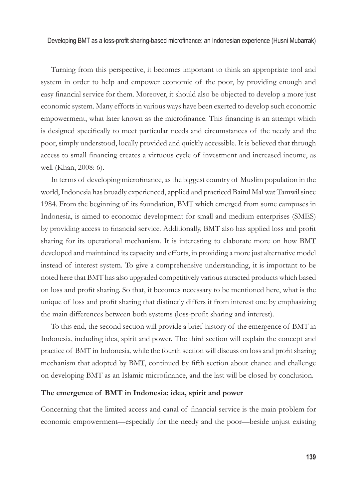Turning from this perspective, it becomes important to think an appropriate tool and system in order to help and empower economic of the poor, by providing enough and easy financial service for them. Moreover, it should also be objected to develop a more just economic system. Many efforts in various ways have been exerted to develop such economic empowerment, what later known as the microfinance. This financing is an attempt which is designed specifically to meet particular needs and circumstances of the needy and the poor, simply understood, locally provided and quickly accessible. It is believed that through access to small financing creates a virtuous cycle of investment and increased income, as well (Khan, 2008: 6).

In terms of developing microfinance, as the biggest country of Muslim population in the world, Indonesia has broadly experienced, applied and practiced Baitul Mal wat Tamwil since 1984. From the beginning of its foundation, BMT which emerged from some campuses in Indonesia, is aimed to economic development for small and medium enterprises (SMES) by providing access to financial service. Additionally, BMT also has applied loss and profit sharing for its operational mechanism. It is interesting to elaborate more on how BMT developed and maintained its capacity and efforts, in providing a more just alternative model instead of interest system. To give a comprehensive understanding, it is important to be noted here that BMT has also upgraded competitively various attracted products which based on loss and profi t sharing. So that, it becomes necessary to be mentioned here, what is the unique of loss and profi t sharing that distinctly differs it from interest one by emphasizing the main differences between both systems (loss-profit sharing and interest).

To this end, the second section will provide a brief history of the emergence of BMT in Indonesia, including idea, spirit and power. The third section will explain the concept and practice of BMT in Indonesia, while the fourth section will discuss on loss and profi t sharing mechanism that adopted by BMT, continued by fifth section about chance and challenge on developing BMT as an Islamic microfinance, and the last will be closed by conclusion.

## **The emergence of BMT in Indonesia: idea, spirit and power**

Concerning that the limited access and canal of financial service is the main problem for economic empowerment—especially for the needy and the poor—beside unjust existing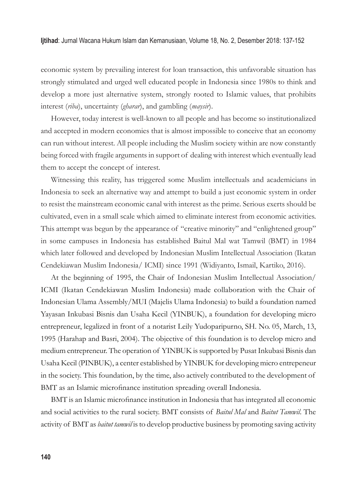economic system by prevailing interest for loan transaction, this unfavorable situation has strongly stimulated and urged well educated people in Indonesia since 1980s to think and develop a more just alternative system, strongly rooted to Islamic values, that prohibits interest (*riba*), uncertainty (*gharar*), and gambling (*maysir*).

However, today interest is well-known to all people and has become so institutionalized and accepted in modern economies that is almost impossible to conceive that an economy can run without interest. All people including the Muslim society within are now constantly being forced with fragile arguments in support of dealing with interest which eventually lead them to accept the concept of interest.

Witnessing this reality, has triggered some Muslim intellectuals and academicians in Indonesia to seek an alternative way and attempt to build a just economic system in order to resist the mainstream economic canal with interest as the prime. Serious exerts should be cultivated, even in a small scale which aimed to eliminate interest from economic activities. This attempt was begun by the appearance of "creative minority" and "enlightened group" in some campuses in Indonesia has established Baitul Mal wat Tamwil (BMT) in 1984 which later followed and developed by Indonesian Muslim Intellectual Association (Ikatan Cendekiawan Muslim Indonesia/ ICMI) since 1991 (Widiyanto, Ismail, Kartiko, 2016).

At the beginning of 1995, the Chair of Indonesian Muslim Intellectual Association/ ICMI (Ikatan Cendekiawan Muslim Indonesia) made collaboration with the Chair of Indonesian Ulama Assembly/MUI (Majelis Ulama Indonesia) to build a foundation named Yayasan Inkubasi Bisnis dan Usaha Kecil (YINBUK), a foundation for developing micro entrepreneur, legalized in front of a notarist Leily Yudoparipurno, SH. No. 05, March, 13, 1995 (Harahap and Basri, 2004). The objective of this foundation is to develop micro and medium entrepreneur. The operation of YINBUK is supported by Pusat Inkubasi Bisnis dan Usaha Kecil (PINBUK), a center established by YINBUK for developing micro entrepeneur in the society. This foundation, by the time, also actively contributed to the development of BMT as an Islamic microfinance institution spreading overall Indonesia.

BMT is an Islamic microfinance institution in Indonesia that has integrated all economic and social activities to the rural society. BMT consists of *Baitul Mal* and *Baitut Tamwil*. The activity of BMT as *baitut tamwil* is to develop productive business by promoting saving activity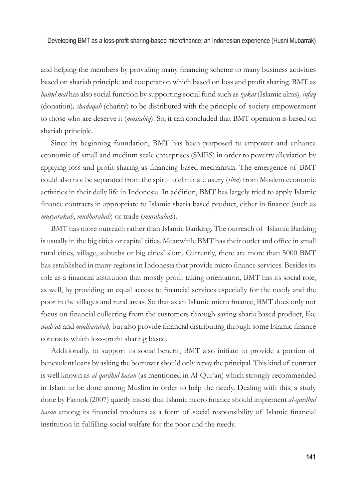and helping the members by providing many financing scheme to many business activities based on shariah principle and cooperation which based on loss and profi t sharing. BMT as *baitul mal* has also social function by supporting social fund such as *zakat* (Islamic alms)*, infaq*  (donation)*, shadaqah* (charity) to be distributed with the principle of society empowerment to those who are deserve it (*mustahiq*). So, it can concluded that BMT operation is based on shariah principle.

Since its beginning foundation, BMT has been purposed to empower and enhance economic of small and medium scale enterprises (SMES) in order to poverty alleviation by applying loss and profit sharing as financing-based mechanism. The emergence of BMT could also not be separated from the spirit to eliminate usury (*riba*) from Moslem economic activities in their daily life in Indonesia. In addition, BMT has largely tried to apply Islamic finance contracts in appropriate to Islamic sharia based product, either in finance (such as *musyarakah*, *mudharabah*) or trade (*murabahah*).

BMT has more outreach rather than Islamic Banking. The outreach of Islamic Banking is usually in the big cities or capital cities. Meanwhile BMT has their outlet and office in small rural cities, village, suburbs or big cities' slum. Currently, there are more than 5000 BMT has established in many regions in Indonesia that provide micro finance services. Besides its role as a financial institution that mostly profit taking orientation, BMT has its social role, as well, by providing an equal access to financial services especially for the needy and the poor in the villages and rural areas. So that as an Islamic micro finance, BMT does only not focus on financial collecting from the customers through saving sharia based product, like *wadi'ah* and *mudharabah*, but also provide financial distributing through some Islamic finance contracts which loss-profit sharing based.

Additionally, to support its social benefit, BMT also initiate to provide a portion of benevolent loans by asking the borrower should only repay the principal. This kind of contract is well known as *al-qardhul hasan* (as mentioned in Al-Qur'an) which strongly recommended in Islam to be done among Muslim in order to help the needy. Dealing with this, a study done by Farook (2007) quietly insists that Islamic micro finance should implement *al-qardhul hasan* among its financial products as a form of social responsibility of Islamic financial institution in fulfilling social welfare for the poor and the needy.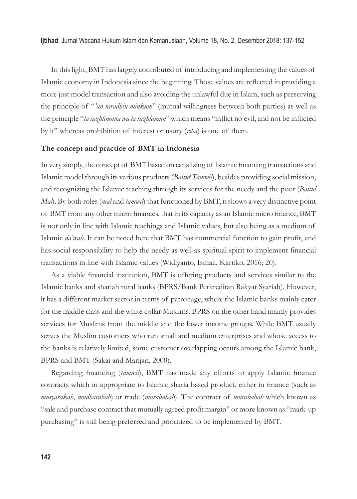In this light, BMT has largely contributed of introducing and implementing the values of Islamic economy in Indonesia since the beginning. Those values are reflected in providing a more just model transaction and also avoiding the unlawful due in Islam, such as preserving the principle of "*'an taradhin minkum*" (mutual willingness between both parties) as well as the principle "*la tazhlimuna wa la tuzhlamun*" which means "inflict no evil, and not be inflicted by it" whereas prohibition of interest or usury (*riba*) is one of them.

#### **The concept and practice of BMT in Indonesia**

In very simply, the concept of BMT based on canalizing of Islamic financing transactions and Islamic model through its various products (*Baitut Tamwil*), besides providing social mission, and recognizing the Islamic teaching through its services for the needy and the poor (*Baitul Mal*). By both roles (*mal* and *tamwil*) that functioned by BMT, it shows a very distinctive point of BMT from any other micro finances, that in its capacity as an Islamic micro finance, BMT is not only in line with Islamic teachings and Islamic values, but also being as a medium of Islamic *da'wah*. It can be noted here that BMT has commercial function to gain profit, and has social responsibility to help the needy as well as spiritual spirit to implement financial transactions in line with Islamic values (Widiyanto, Ismail, Kartiko, 2016: 20).

As a viable financial institution, BMT is offering products and services similar to the Islamic banks and shariah rural banks (BPRS/Bank Perkreditan Rakyat Syariah). However, it has a different market sector in terms of patronage, where the Islamic banks mainly cater for the middle class and the white collar Muslims. BPRS on the other hand mainly provides services for Muslims from the middle and the lower income groups. While BMT usually serves the Muslim customers who run small and medium enterprises and whose access to the banks is relatively limited, some customer overlapping occurs among the Islamic bank, BPRS and BMT (Sakai and Marijan, 2008).

Regarding financing (*tamwil*), BMT has made any efforts to apply Islamic finance contracts which in appropriate to Islamic sharia based product, either in finance (such as *musyarakah*, *mudharabah*) or trade (*murabahah*). The contract of *murabahah* which known as "sale and purchase contract that mutually agreed profit margin" or more known as "mark-up purchasing" is still being preferred and prioritized to be implemented by BMT.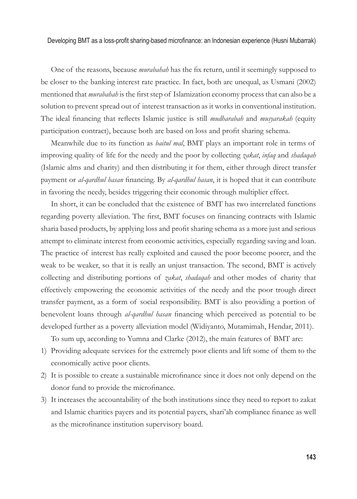One of the reasons, because *murabahah* has the fix return, until it seemingly supposed to be closer to the banking interest rate practice. In fact, both are unequal, as Usmani (2002) mentioned that *murabahah* is the first step of Islamization economy process that can also be a solution to prevent spread out of interest transaction as it works in conventional institution. The ideal financing that reflects Islamic justice is still *mudharabah* and *musyarakah* (equity participation contract), because both are based on loss and profit sharing schema.

Meanwhile due to its function as *baitul mal*, BMT plays an important role in terms of improving quality of life for the needy and the poor by collecting *zakat*, *infaq* and *shadaqah* (Islamic alms and charity) and then distributing it for them, either through direct transfer payment or *al-qardhul hasan* financing. By *al-qardhul hasan*, it is hoped that it can contribute in favoring the needy, besides triggering their economic through multiplier effect.

In short, it can be concluded that the existence of BMT has two interrelated functions regarding poverty alleviation. The first, BMT focuses on financing contracts with Islamic sharia based products, by applying loss and profi t sharing schema as a more just and serious attempt to eliminate interest from economic activities, especially regarding saving and loan. The practice of interest has really exploited and caused the poor become poorer, and the weak to be weaker, so that it is really an unjust transaction. The second, BMT is actively collecting and distributing portions of *zakat*, *shadaqah* and other modes of charity that effectively empowering the economic activities of the needy and the poor trough direct transfer payment, as a form of social responsibility. BMT is also providing a portion of benevolent loans through *al-qardhul hasan* financing which perceived as potential to be developed further as a poverty alleviation model (Widiyanto, Mutamimah, Hendar, 2011).

To sum up, according to Yumna and Clarke (2012), the main features of BMT are:

- 1) Providing adequate services for the extremely poor clients and lift some of them to the economically active poor clients.
- 2) It is possible to create a sustainable microfinance since it does not only depend on the donor fund to provide the microfinance.
- 3) It increases the accountability of the both institutions since they need to report to zakat and Islamic charities payers and its potential payers, shari'ah compliance finance as well as the microfinance institution supervisory board.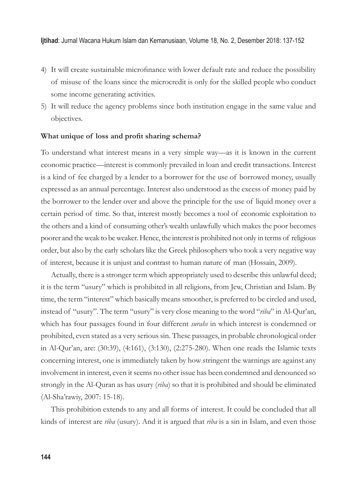- 4) It will create sustainable microfinance with lower default rate and reduce the possibility of misuse of the loans since the microcredit is only for the skilled people who conduct some income generating activities.
- 5) It will reduce the agency problems since both institution engage in the same value and objectives.

## What unique of loss and profit sharing schema?

To understand what interest means in a very simple way—as it is known in the current economic practice—interest is commonly prevailed in loan and credit transactions. Interest is a kind of fee charged by a lender to a borrower for the use of borrowed money, usually expressed as an annual percentage. Interest also understood as the excess of money paid by the borrower to the lender over and above the principle for the use of liquid money over a certain period of time. So that, interest mostly becomes a tool of economic exploitation to the others and a kind of consuming other's wealth unlawfully which makes the poor becomes poorer and the weak to be weaker. Hence, the interest is prohibited not only in terms of religious order, but also by the early scholars like the Greek philosophers who took a very negative way of interest, because it is unjust and contrast to human nature of man (Hossain, 2009).

Actually, there is a stronger term which appropriately used to describe this unlawful deed; it is the term "usury" which is prohibited in all religions, from Jew, Christian and Islam. By time, the term "interest" which basically means smoother, is preferred to be circled and used, instead of "usury". The term "usury" is very close meaning to the word "*riba*" in Al-Qur'an, which has four passages found in four different *surahs* in which interest is condemned or prohibited, even stated as a very serious sin. These passages, in probable chronological order in Al-Qur'an, are: (30:39), (4:161), (3:130), (2:275-280). When one reads the Islamic texts concerning interest, one is immediately taken by how stringent the warnings are against any involvement in interest, even it seems no other issue has been condemned and denounced so strongly in the Al-Quran as has usury (*riba*) so that it is prohibited and should be eliminated (Al-Sha'rawiy, 2007: 15-18).

This prohibition extends to any and all forms of interest. It could be concluded that all kinds of interest are *riba* (usury). And it is argued that *riba* is a sin in Islam, and even those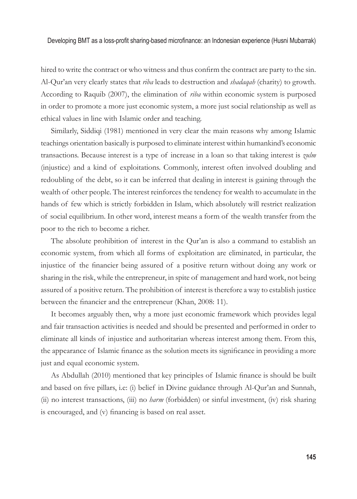hired to write the contract or who witness and thus confirm the contract are party to the sin. Al-Qur'an very clearly states that *riba* leads to destruction and *shadaqah* (charity) to growth. According to Raquib (2007), the elimination of *riba* within economic system is purposed in order to promote a more just economic system, a more just social relationship as well as ethical values in line with Islamic order and teaching.

Similarly, Siddiqi (1981) mentioned in very clear the main reasons why among Islamic teachings orientation basically is purposed to eliminate interest within humankind's economic transactions. Because interest is a type of increase in a loan so that taking interest is *zulm*  (injustice) and a kind of exploitations. Commonly, interest often involved doubling and redoubling of the debt, so it can be inferred that dealing in interest is gaining through the wealth of other people. The interest reinforces the tendency for wealth to accumulate in the hands of few which is strictly forbidden in Islam, which absolutely will restrict realization of social equilibrium. In other word, interest means a form of the wealth transfer from the poor to the rich to become a richer.

The absolute prohibition of interest in the Qur'an is also a command to establish an economic system, from which all forms of exploitation are eliminated, in particular, the injustice of the financier being assured of a positive return without doing any work or sharing in the risk, while the entrepreneur, in spite of management and hard work, not being assured of a positive return. The prohibition of interest is therefore a way to establish justice between the financier and the entrepreneur (Khan, 2008: 11).

It becomes arguably then, why a more just economic framework which provides legal and fair transaction activities is needed and should be presented and performed in order to eliminate all kinds of injustice and authoritarian whereas interest among them. From this, the appearance of Islamic finance as the solution meets its significance in providing a more just and equal economic system.

As Abdullah (2010) mentioned that key principles of Islamic finance is should be built and based on five pillars, i.e. (i) belief in Divine guidance through Al-Qur'an and Sunnah, (ii) no interest transactions, (iii) no *harm* (forbidden) or sinful investment, (iv) risk sharing is encouraged, and (v) financing is based on real asset.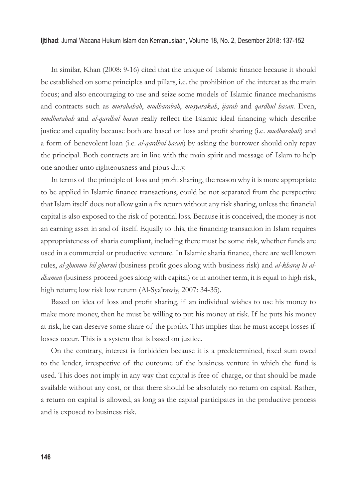In similar, Khan (2008: 9-16) cited that the unique of Islamic finance because it should be established on some principles and pillars, i.e. the prohibition of the interest as the main focus; and also encouraging to use and seize some models of Islamic finance mechanisms and contracts such as *murabahah*, *mudharabah*, *musyarakah*, *ijarah* and *qardhul hasan.* Even, *mudharabah* and *al-qardhul hasan* really reflect the Islamic ideal financing which describe justice and equality because both are based on loss and profit sharing (i.e. *mudharabah*) and a form of benevolent loan (i.e. *al-qardhul hasan*) by asking the borrower should only repay the principal. Both contracts are in line with the main spirit and message of Islam to help one another unto righteousness and pious duty.

In terms of the principle of loss and profit sharing, the reason why it is more appropriate to be applied in Islamic finance transactions, could be not separated from the perspective that Islam itself does not allow gain a fix return without any risk sharing, unless the financial capital is also exposed to the risk of potential loss. Because it is conceived, the money is not an earning asset in and of itself. Equally to this, the financing transaction in Islam requires appropriateness of sharia compliant, including there must be some risk, whether funds are used in a commercial or productive venture. In Islamic sharia finance, there are well known rules, *al-ghunmu bil ghurmi* (business profit goes along with business risk) and *al-kharaj bi aldhaman* (business proceed goes along with capital) or in another term, it is equal to high risk, high return; low risk low return (Al-Sya'rawiy, 2007: 34-35).

Based on idea of loss and profit sharing, if an individual wishes to use his money to make more money, then he must be willing to put his money at risk. If he puts his money at risk, he can deserve some share of the profits. This implies that he must accept losses if losses occur. This is a system that is based on justice.

On the contrary, interest is forbidden because it is a predetermined, fixed sum owed to the lender, irrespective of the outcome of the business venture in which the fund is used. This does not imply in any way that capital is free of charge, or that should be made available without any cost, or that there should be absolutely no return on capital. Rather, a return on capital is allowed, as long as the capital participates in the productive process and is exposed to business risk.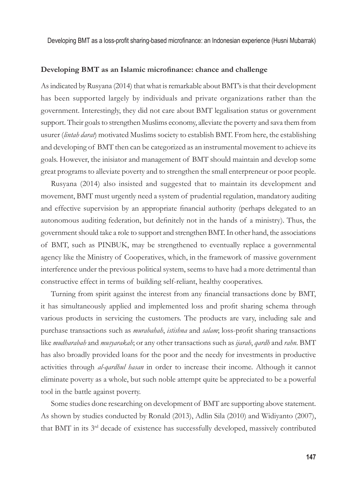### **Developing BMT** as an Islamic microfinance: chance and challenge

As indicated by Rusyana (2014) that what is remarkable about BMT's is that their development has been supported largely by individuals and private organizations rather than the government. Interestingly, they did not care about BMT legalisation status or government support. Their goals to strengthen Muslims economy, alleviate the poverty and sava them from usurer (*lintah darat*) motivated Muslims society to establish BMT. From here, the establishing and developing of BMT then can be categorized as an instrumental movement to achieve its goals. However, the inisiator and management of BMT should maintain and develop some great programs to alleviate poverty and to strengthen the small enterpreneur or poor people.

Rusyana (2014) also insisted and suggested that to maintain its development and movement, BMT must urgently need a system of prudential regulation, mandatory auditing and effective supervision by an appropriate financial authority (perhaps delegated to an autonomous auditing federation, but definitely not in the hands of a ministry). Thus, the government should take a role to support and strengthen BMT. In other hand, the associations of BMT, such as PINBUK, may be strengthened to eventually replace a governmental agency like the Ministry of Cooperatives, which, in the framework of massive government interference under the previous political system, seems to have had a more detrimental than constructive effect in terms of building self-reliant, healthy cooperatives.

Turning from spirit against the interest from any financial transactions done by BMT, it has simultaneously applied and implemented loss and profit sharing schema through various products in servicing the customers. The products are vary, including sale and purchase transactions such as *murabahah*, *istishna* and *salam*; loss-profi t sharing transactions like *mudharabah* and *musyarakah*; or any other transactions such as *ijarah*, *qardh* and *rahn.* BMT has also broadly provided loans for the poor and the needy for investments in productive activities through *al-qardhul hasan* in order to increase their income. Although it cannot eliminate poverty as a whole, but such noble attempt quite be appreciated to be a powerful tool in the battle against poverty.

Some studies done researching on development of BMT are supporting above statement. As shown by studies conducted by Ronald (2013), Adlin Sila (2010) and Widiyanto (2007), that BMT in its 3rd decade of existence has successfully developed, massively contributed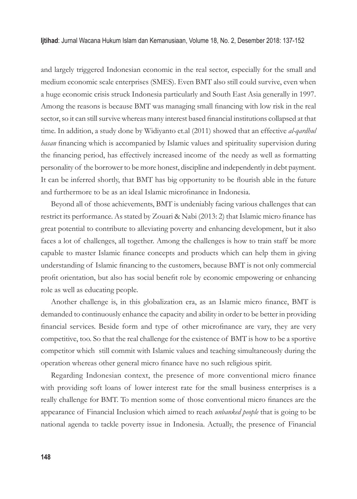and largely triggered Indonesian economic in the real sector, especially for the small and medium economic scale enterprises (SMES). Even BMT also still could survive, even when a huge economic crisis struck Indonesia particularly and South East Asia generally in 1997. Among the reasons is because BMT was managing small financing with low risk in the real sector, so it can still survive whereas many interest based financial institutions collapsed at that time. In addition, a study done by Widiyanto et.al (2011) showed that an effective *al-qardhul hasan* financing which is accompanied by Islamic values and spirituality supervision during the financing period, has effectively increased income of the needy as well as formatting personality of the borrower to be more honest, discipline and independently in debt payment. It can be inferred shortly, that BMT has big opportunity to be flourish able in the future and furthermore to be as an ideal Islamic microfinance in Indonesia.

Beyond all of those achievements, BMT is undeniably facing various challenges that can restrict its performance. As stated by Zouari & Nabi (2013: 2) that Islamic micro finance has great potential to contribute to alleviating poverty and enhancing development, but it also faces a lot of challenges, all together. Among the challenges is how to train staff be more capable to master Islamic finance concepts and products which can help them in giving understanding of Islamic financing to the customers, because BMT is not only commercial profit orientation, but also has social benefit role by economic empowering or enhancing role as well as educating people.

Another challenge is, in this globalization era, as an Islamic micro finance, BMT is demanded to continuously enhance the capacity and ability in order to be better in providing financial services. Beside form and type of other microfinance are vary, they are very competitive, too. So that the real challenge for the existence of BMT is how to be a sportive competitor which still commit with Islamic values and teaching simultaneously during the operation whereas other general micro finance have no such religious spirit.

Regarding Indonesian context, the presence of more conventional micro finance with providing soft loans of lower interest rate for the small business enterprises is a really challenge for BMT. To mention some of those conventional micro finances are the appearance of Financial Inclusion which aimed to reach *unbanked people* that is going to be national agenda to tackle poverty issue in Indonesia. Actually, the presence of Financial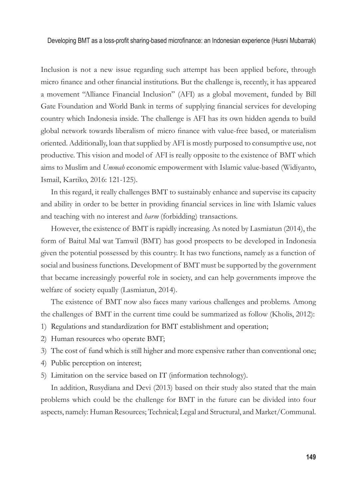Inclusion is not a new issue regarding such attempt has been applied before, through micro finance and other financial institutions. But the challenge is, recently, it has appeared a movement "Alliance Financial Inclusion" (AFI) as a global movement, funded by Bill Gate Foundation and World Bank in terms of supplying financial services for developing country which Indonesia inside. The challenge is AFI has its own hidden agenda to build global network towards liberalism of micro finance with value-free based, or materialism oriented. Additionally, loan that supplied by AFI is mostly purposed to consumptive use, not productive. This vision and model of AFI is really opposite to the existence of BMT which aims to Muslim and *Ummah* economic empowerment with Islamic value-based (Widiyanto, Ismail, Kartiko, 2016: 121-125).

In this regard, it really challenges BMT to sustainably enhance and supervise its capacity and ability in order to be better in providing financial services in line with Islamic values and teaching with no interest and *harm* (forbidding) transactions.

However, the existence of BMT is rapidly increasing. As noted by Lasmiatun (2014), the form of Baitul Mal wat Tamwil (BMT) has good prospects to be developed in Indonesia given the potential possessed by this country. It has two functions, namely as a function of social and business functions. Development of BMT must be supported by the government that became increasingly powerful role in society, and can help governments improve the welfare of society equally (Lasmiatun, 2014).

The existence of BMT now also faces many various challenges and problems. Among the challenges of BMT in the current time could be summarized as follow (Kholis, 2012):

- 1) Regulations and standardization for BMT establishment and operation;
- 2) Human resources who operate BMT;
- 3) The cost of fund which is still higher and more expensive rather than conventional one;
- 4) Public perception on interest;
- 5) Limitation on the service based on IT (information technology).

In addition, Rusydiana and Devi (2013) based on their study also stated that the main problems which could be the challenge for BMT in the future can be divided into four aspects, namely: Human Resources; Technical; Legal and Structural, and Market/Communal.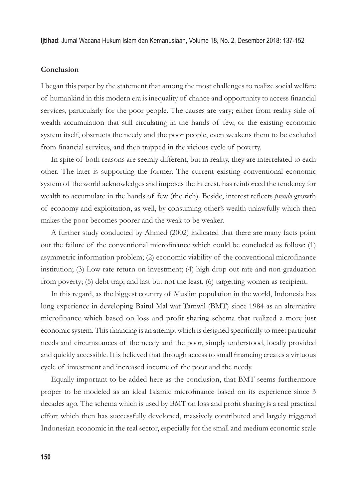#### **Conclusion**

I began this paper by the statement that among the most challenges to realize social welfare of humankind in this modern era is inequality of chance and opportunity to access financial services, particularly for the poor people. The causes are vary; either from reality side of wealth accumulation that still circulating in the hands of few, or the existing economic system itself, obstructs the needy and the poor people, even weakens them to be excluded from financial services, and then trapped in the vicious cycle of poverty.

In spite of both reasons are seemly different, but in reality, they are interrelated to each other. The later is supporting the former. The current existing conventional economic system of the world acknowledges and imposes the interest, has reinforced the tendency for wealth to accumulate in the hands of few (the rich). Beside, interest reflects *pseudo* growth of economy and exploitation, as well, by consuming other's wealth unlawfully which then makes the poor becomes poorer and the weak to be weaker.

A further study conducted by Ahmed (2002) indicated that there are many facts point out the failure of the conventional microfinance which could be concluded as follow: (1) asymmetric information problem; (2) economic viability of the conventional microfinance institution; (3) Low rate return on investment; (4) high drop out rate and non-graduation from poverty; (5) debt trap; and last but not the least, (6) targetting women as recipient.

In this regard, as the biggest country of Muslim population in the world, Indonesia has long experience in developing Baitul Mal wat Tamwil (BMT) since 1984 as an alternative microfinance which based on loss and profit sharing schema that realized a more just economic system. This financing is an attempt which is designed specifically to meet particular needs and circumstances of the needy and the poor, simply understood, locally provided and quickly accessible. It is believed that through access to small financing creates a virtuous cycle of investment and increased income of the poor and the needy.

Equally important to be added here as the conclusion, that BMT seems furthermore proper to be modeled as an ideal Islamic microfinance based on its experience since 3 decades ago. The schema which is used by BMT on loss and profit sharing is a real practical effort which then has successfully developed, massively contributed and largely triggered Indonesian economic in the real sector, especially for the small and medium economic scale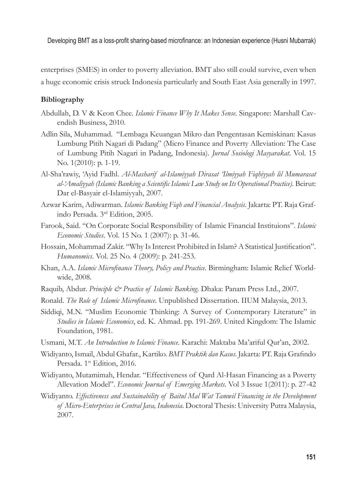enterprises (SMES) in order to poverty alleviation. BMT also still could survive, even when a huge economic crisis struck Indonesia particularly and South East Asia generally in 1997.

# **Bibliography**

- Abdullah, D. V & Keon Chee. *Islamic Finance Why It Makes Sense*. Singapore: Marshall Cavendish Business, 2010.
- Adlin Sila, Muhammad. "Lembaga Keuangan Mikro dan Pengentasan Kemiskinan: Kasus Lumbung Pitih Nagari di Padang" (Micro Finance and Poverty Alleviation: The Case of Lumbung Pitih Nagari in Padang, Indonesia). *Jurnal Sosiologi Masyarakat*. Vol. 15 No. 1(2010): p. 1-19.
- Al-Sha'rawiy, 'Ayid Fadhl. *Al-Masharif al-Islamiyyah Dirasat 'Ilmiyyah Fiqhiyyah lil Mumarasat al-'Amaliyyah (Islamic Banking a Scientifi c Islamic Law Study on Its Operational Practice)*. Beirut: Dar el-Basyair el-Islamiyyah, 2007.
- Azwar Karim, Adiwarman. *Islamic Banking Fiqh and Financial Analysis*. Jakarta: PT. Raja Grafindo Persada. 3rd Edition, 2005.
- Farook, Said. "On Corporate Social Responsibility of Islamic Financial Instituions". *Islamic Economic Studies*. Vol. 15 No. 1 (2007): p. 31-46.
- Hossain, Mohammad Zakir. "Why Is Interest Prohibited in Islam? A Statistical Justification". *Humanomics*. Vol. 25 No. 4 (2009): p. 241-253.
- Khan, A.A. *Islamic Microfi nance Theory, Policy and Practice*. Birmingham: Islamic Relief Worldwide, 2008.
- Raquib, Abdur. *Principle & Practice of Islamic Banking*. Dhaka: Panam Press Ltd., 2007.
- Ronald. *The Role of Islamic Microfinance*. Unpublished Dissertation. IIUM Malaysia, 2013.
- Siddiqi, M.N. "Muslim Economic Thinking: A Survey of Contemporary Literature" in *Studies in Islamic Economics*, ed. K. Ahmad. pp. 191-269. United Kingdom: The Islamic Foundation, 1981.
- Usmani, M.T. *An Introduction to Islamic Finance*. Karachi: Maktaba Ma'ariful Qur'an, 2002.
- Widiyanto, Ismail, Abdul Ghafar., Kartiko. *BMT Praktik dan Kasus*. Jakarta: PT. Raja Grafindo Persada. 1st Edition, 2016.
- Widiyanto, Mutamimah, Hendar. "Effectiveness of Qard Al-Hasan Financing as a Poverty Allevation Model". *Economic Journal of Emerging Markets*. Vol 3 Issue 1(2011): p. 27-42
- Widiyanto. *Effectiveness and Sustainability of Baitul Mal Wat Tamwil Financing in the Development of Micro-Enterprises in Central Java, Indonesia*. Doctoral Thesis: University Putra Malaysia, 2007.